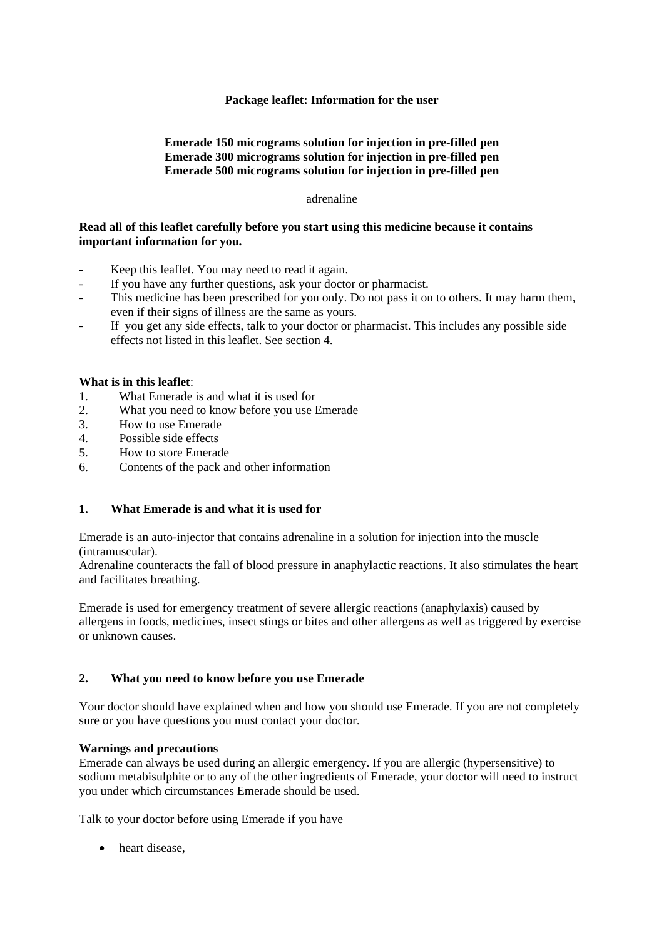# **Package leaflet: Information for the user**

# **Emerade 150 micrograms solution for injection in pre-filled pen Emerade 300 micrograms solution for injection in pre-filled pen Emerade 500 micrograms solution for injection in pre-filled pen**

#### adrenaline

## **Read all of this leaflet carefully before you start using this medicine because it contains important information for you.**

- Keep this leaflet. You may need to read it again.
- If you have any further questions, ask your doctor or pharmacist.
- This medicine has been prescribed for you only. Do not pass it on to others. It may harm them, even if their signs of illness are the same as yours.
- If you get any side effects, talk to your doctor or pharmacist. This includes any possible side effects not listed in this leaflet. See section 4.

## **What is in this leaflet**:

- 1. What Emerade is and what it is used for
- 2. What you need to know before you use Emerade
- 3. How to use Emerade
- 4. Possible side effects
- 5. How to store Emerade
- 6. Contents of the pack and other information

## **1. What Emerade is and what it is used for**

Emerade is an auto-injector that contains adrenaline in a solution for injection into the muscle (intramuscular).

Adrenaline counteracts the fall of blood pressure in anaphylactic reactions. It also stimulates the heart and facilitates breathing.

Emerade is used for emergency treatment of severe allergic reactions (anaphylaxis) caused by allergens in foods, medicines, insect stings or bites and other allergens as well as triggered by exercise or unknown causes.

## **2. What you need to know before you use Emerade**

Your doctor should have explained when and how you should use Emerade. If you are not completely sure or you have questions you must contact your doctor.

## **Warnings and precautions**

Emerade can always be used during an allergic emergency. If you are allergic (hypersensitive) to sodium metabisulphite or to any of the other ingredients of Emerade, your doctor will need to instruct you under which circumstances Emerade should be used.

Talk to your doctor before using Emerade if you have

• heart disease.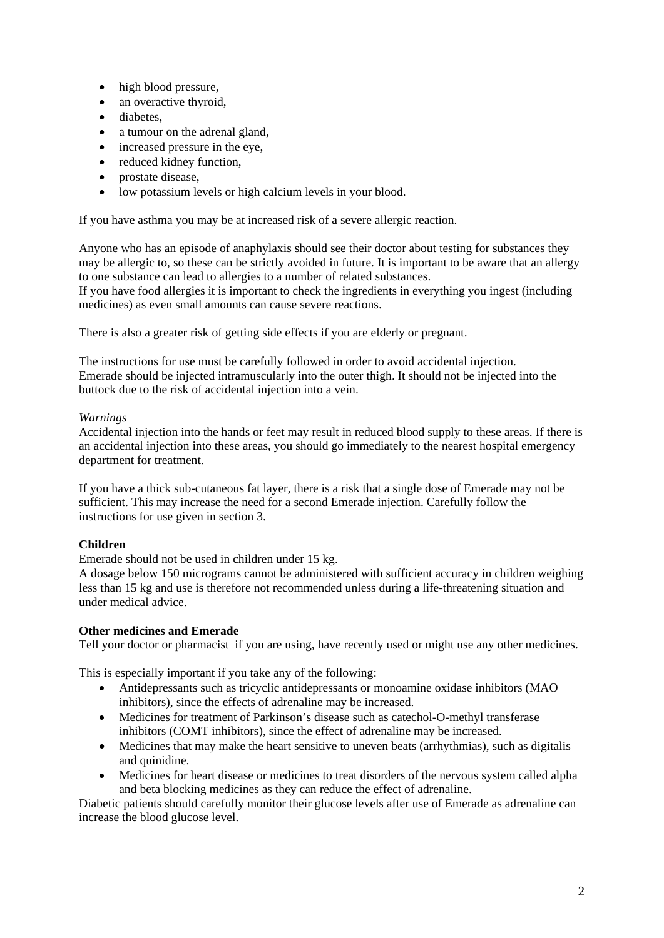- high blood pressure,
- an overactive thyroid,
- diabetes,
- a tumour on the adrenal gland,
- increased pressure in the eye,
- reduced kidney function,
- prostate disease,
- low potassium levels or high calcium levels in your blood.

If you have asthma you may be at increased risk of a severe allergic reaction.

Anyone who has an episode of anaphylaxis should see their doctor about testing for substances they may be allergic to, so these can be strictly avoided in future. It is important to be aware that an allergy to one substance can lead to allergies to a number of related substances.

If you have food allergies it is important to check the ingredients in everything you ingest (including medicines) as even small amounts can cause severe reactions.

There is also a greater risk of getting side effects if you are elderly or pregnant.

The instructions for use must be carefully followed in order to avoid accidental injection. Emerade should be injected intramuscularly into the outer thigh. It should not be injected into the buttock due to the risk of accidental injection into a vein.

# *Warnings*

Accidental injection into the hands or feet may result in reduced blood supply to these areas. If there is an accidental injection into these areas, you should go immediately to the nearest hospital emergency department for treatment.

If you have a thick sub-cutaneous fat layer, there is a risk that a single dose of Emerade may not be sufficient. This may increase the need for a second Emerade injection. Carefully follow the instructions for use given in section 3.

# **Children**

Emerade should not be used in children under 15 kg.

A dosage below 150 micrograms cannot be administered with sufficient accuracy in children weighing less than 15 kg and use is therefore not recommended unless during a life-threatening situation and under medical advice.

# **Other medicines and Emerade**

Tell your doctor or pharmacist if you are using, have recently used or might use any other medicines.

This is especially important if you take any of the following:

- Antidepressants such as tricyclic antidepressants or monoamine oxidase inhibitors (MAO inhibitors), since the effects of adrenaline may be increased.
- Medicines for treatment of Parkinson's disease such as catechol-O-methyl transferase inhibitors (COMT inhibitors), since the effect of adrenaline may be increased.
- Medicines that may make the heart sensitive to uneven beats (arrhythmias), such as digitalis and quinidine.
- Medicines for heart disease or medicines to treat disorders of the nervous system called alpha and beta blocking medicines as they can reduce the effect of adrenaline.

Diabetic patients should carefully monitor their glucose levels after use of Emerade as adrenaline can increase the blood glucose level.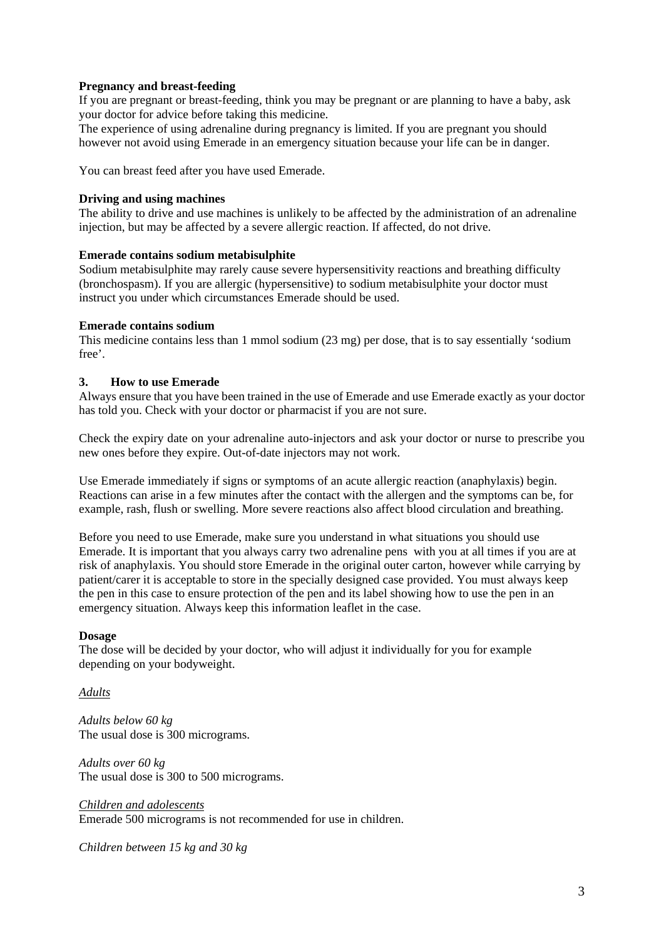# **Pregnancy and breast-feeding**

If you are pregnant or breast-feeding, think you may be pregnant or are planning to have a baby, ask your doctor for advice before taking this medicine.

The experience of using adrenaline during pregnancy is limited. If you are pregnant you should however not avoid using Emerade in an emergency situation because your life can be in danger.

You can breast feed after you have used Emerade.

#### **Driving and using machines**

The ability to drive and use machines is unlikely to be affected by the administration of an adrenaline injection, but may be affected by a severe allergic reaction. If affected, do not drive.

#### **Emerade contains sodium metabisulphite**

Sodium metabisulphite may rarely cause severe hypersensitivity reactions and breathing difficulty (bronchospasm). If you are allergic (hypersensitive) to sodium metabisulphite your doctor must instruct you under which circumstances Emerade should be used.

#### **Emerade contains sodium**

This medicine contains less than 1 mmol sodium (23 mg) per dose, that is to say essentially 'sodium free'.

## **3. How to use Emerade**

Always ensure that you have been trained in the use of Emerade and use Emerade exactly as your doctor has told you. Check with your doctor or pharmacist if you are not sure.

Check the expiry date on your adrenaline auto-injectors and ask your doctor or nurse to prescribe you new ones before they expire. Out-of-date injectors may not work.

Use Emerade immediately if signs or symptoms of an acute allergic reaction (anaphylaxis) begin. Reactions can arise in a few minutes after the contact with the allergen and the symptoms can be, for example, rash, flush or swelling. More severe reactions also affect blood circulation and breathing.

Before you need to use Emerade, make sure you understand in what situations you should use Emerade. It is important that you always carry two adrenaline pens with you at all times if you are at risk of anaphylaxis. You should store Emerade in the original outer carton, however while carrying by patient/carer it is acceptable to store in the specially designed case provided. You must always keep the pen in this case to ensure protection of the pen and its label showing how to use the pen in an emergency situation. Always keep this information leaflet in the case.

#### **Dosage**

The dose will be decided by your doctor, who will adjust it individually for you for example depending on your bodyweight.

# *Adults*

*Adults below 60 kg* The usual dose is 300 micrograms.

*Adults over 60 kg* The usual dose is 300 to 500 micrograms.

*Children and adolescents* Emerade 500 micrograms is not recommended for use in children.

*Children between 15 kg and 30 kg*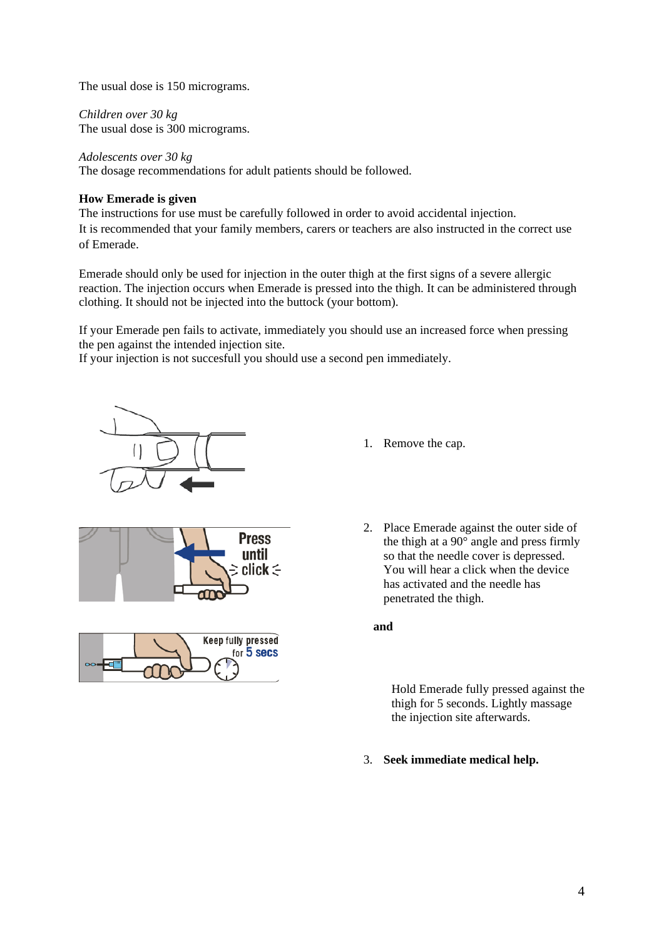The usual dose is 150 micrograms.

*Children over 30 kg* The usual dose is 300 micrograms.

*Adolescents over 30 kg* The dosage recommendations for adult patients should be followed.

# **How Emerade is given**

The instructions for use must be carefully followed in order to avoid accidental injection. It is recommended that your family members, carers or teachers are also instructed in the correct use of Emerade.

Emerade should only be used for injection in the outer thigh at the first signs of a severe allergic reaction. The injection occurs when Emerade is pressed into the thigh. It can be administered through clothing. It should not be injected into the buttock (your bottom).

If your Emerade pen fails to activate, immediately you should use an increased force when pressing the pen against the intended injection site.

If your injection is not succesfull you should use a second pen immediately.



1. Remove the cap.





2. Place Emerade against the outer side of the thigh at a 90° angle and press firmly so that the needle cover is depressed. You will hear a click when the device has activated and the needle has penetrated the thigh.

Hold Emerade fully pressed against the thigh for 5 seconds. Lightly massage the injection site afterwards.

3. **Seek immediate medical help.**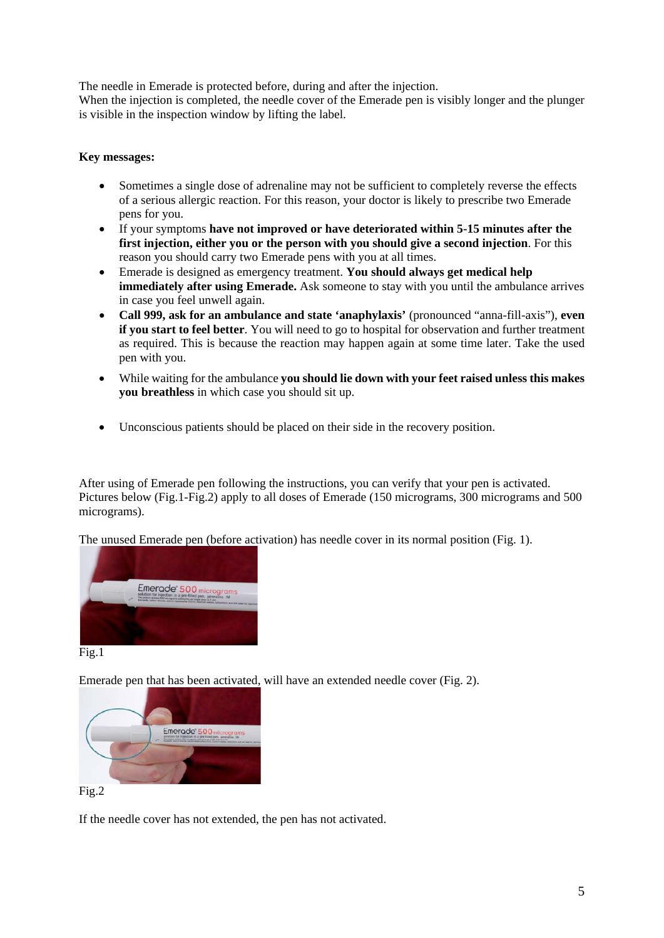The needle in Emerade is protected before, during and after the injection.

When the injection is completed, the needle cover of the Emerade pen is visibly longer and the plunger is visible in the inspection window by lifting the label.

# **Key messages:**

- Sometimes a single dose of adrenaline may not be sufficient to completely reverse the effects of a serious allergic reaction. For this reason, your doctor is likely to prescribe two Emerade pens for you.
- If your symptoms **have not improved or have deteriorated within 5-15 minutes after the first injection, either you or the person with you should give a second injection**. For this reason you should carry two Emerade pens with you at all times.
- Emerade is designed as emergency treatment. **You should always get medical help immediately after using Emerade.** Ask someone to stay with you until the ambulance arrives in case you feel unwell again.
- **Call 999, ask for an ambulance and state 'anaphylaxis'** (pronounced "anna-fill-axis"), **even if you start to feel better**. You will need to go to hospital for observation and further treatment as required. This is because the reaction may happen again at some time later. Take the used pen with you.
- While waiting for the ambulance **you should lie down with your feet raised unless this makes you breathless** in which case you should sit up.
- Unconscious patients should be placed on their side in the recovery position.

After using of Emerade pen following the instructions, you can verify that your pen is activated. Pictures below (Fig.1-Fig.2) apply to all doses of Emerade (150 micrograms, 300 micrograms and 500 micrograms).

The unused Emerade pen (before activation) has needle cover in its normal position (Fig. 1).



# Fig.1

Emerade pen that has been activated, will have an extended needle cover (Fig. 2).



Fig.2

If the needle cover has not extended, the pen has not activated.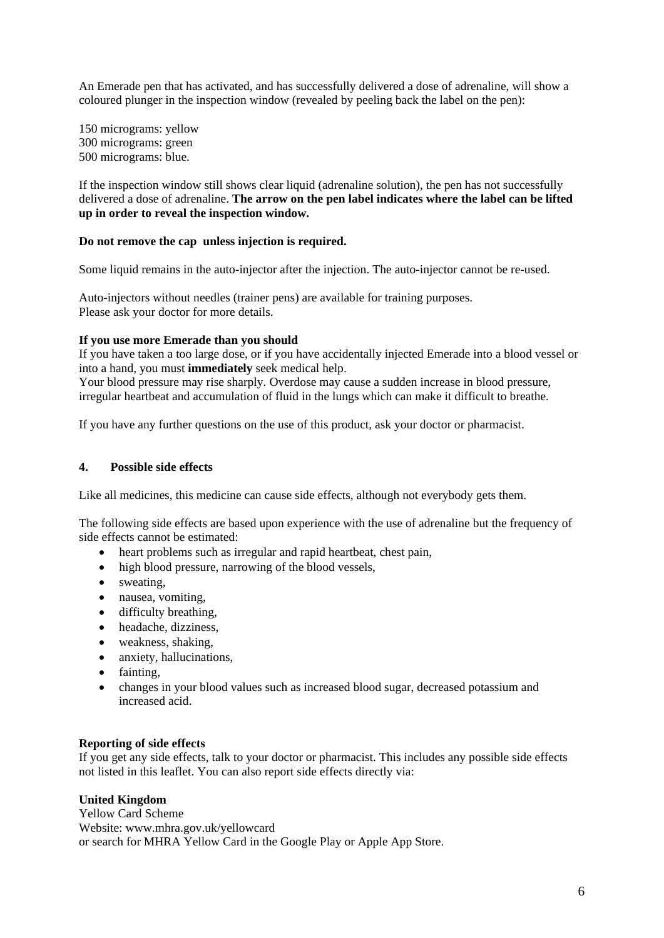An Emerade pen that has activated, and has successfully delivered a dose of adrenaline, will show a coloured plunger in the inspection window (revealed by peeling back the label on the pen):

150 micrograms: yellow 300 micrograms: green 500 micrograms: blue.

If the inspection window still shows clear liquid (adrenaline solution), the pen has not successfully delivered a dose of adrenaline. **The arrow on the pen label indicates where the label can be lifted up in order to reveal the inspection window.**

# **Do not remove the cap unless injection is required.**

Some liquid remains in the auto-injector after the injection. The auto-injector cannot be re-used.

Auto-injectors without needles (trainer pens) are available for training purposes. Please ask your doctor for more details.

# **If you use more Emerade than you should**

If you have taken a too large dose, or if you have accidentally injected Emerade into a blood vessel or into a hand, you must **immediately** seek medical help.

Your blood pressure may rise sharply. Overdose may cause a sudden increase in blood pressure, irregular heartbeat and accumulation of fluid in the lungs which can make it difficult to breathe.

If you have any further questions on the use of this product, ask your doctor or pharmacist.

## **4. Possible side effects**

Like all medicines, this medicine can cause side effects, although not everybody gets them.

The following side effects are based upon experience with the use of adrenaline but the frequency of side effects cannot be estimated:

- heart problems such as irregular and rapid heartbeat, chest pain,
- high blood pressure, narrowing of the blood vessels,
- sweating,
- nausea, vomiting,
- difficulty breathing,
- headache, dizziness,
- weakness, shaking,
- anxiety, hallucinations,
- fainting,
- changes in your blood values such as increased blood sugar, decreased potassium and increased acid.

## **Reporting of side effects**

If you get any side effects, talk to your doctor or pharmacist. This includes any possible side effects not listed in this leaflet. You can also report side effects directly via:

## **United Kingdom**

Yellow Card Scheme Website: www.mhra.gov.uk/yellowcard or search for MHRA Yellow Card in the Google Play or Apple App Store.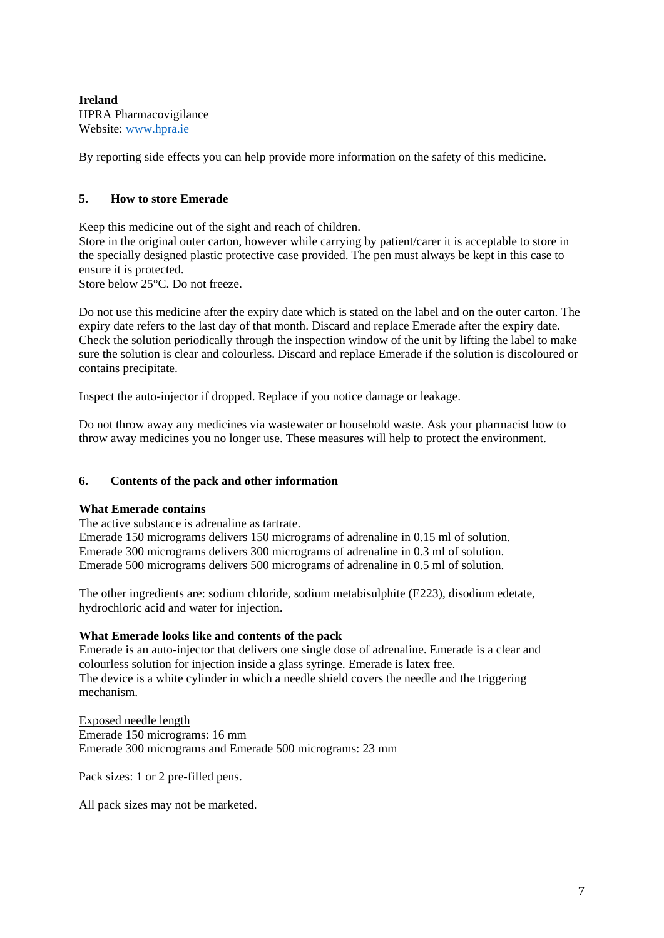**Ireland** HPRA Pharmacovigilance Website: [www.hpra.ie](http://www.hpra.ie/)

By reporting side effects you can help provide more information on the safety of this medicine.

# **5. How to store Emerade**

Keep this medicine out of the sight and reach of children.

Store in the original outer carton, however while carrying by patient/carer it is acceptable to store in the specially designed plastic protective case provided. The pen must always be kept in this case to ensure it is protected.

Store below 25°C. Do not freeze.

Do not use this medicine after the expiry date which is stated on the label and on the outer carton. The expiry date refers to the last day of that month. Discard and replace Emerade after the expiry date. Check the solution periodically through the inspection window of the unit by lifting the label to make sure the solution is clear and colourless. Discard and replace Emerade if the solution is discoloured or contains precipitate.

Inspect the auto-injector if dropped. Replace if you notice damage or leakage.

Do not throw away any medicines via wastewater or household waste. Ask your pharmacist how to throw away medicines you no longer use. These measures will help to protect the environment.

# **6. Contents of the pack and other information**

## **What Emerade contains**

The active substance is adrenaline as tartrate. Emerade 150 micrograms delivers 150 micrograms of adrenaline in 0.15 ml of solution. Emerade 300 micrograms delivers 300 micrograms of adrenaline in 0.3 ml of solution. Emerade 500 micrograms delivers 500 micrograms of adrenaline in 0.5 ml of solution.

The other ingredients are: sodium chloride, sodium metabisulphite (E223), disodium edetate, hydrochloric acid and water for injection.

## **What Emerade looks like and contents of the pack**

Emerade is an auto-injector that delivers one single dose of adrenaline. Emerade is a clear and colourless solution for injection inside a glass syringe. Emerade is latex free. The device is a white cylinder in which a needle shield covers the needle and the triggering mechanism.

Exposed needle length Emerade 150 micrograms: 16 mm Emerade 300 micrograms and Emerade 500 micrograms: 23 mm

Pack sizes: 1 or 2 pre-filled pens.

All pack sizes may not be marketed.